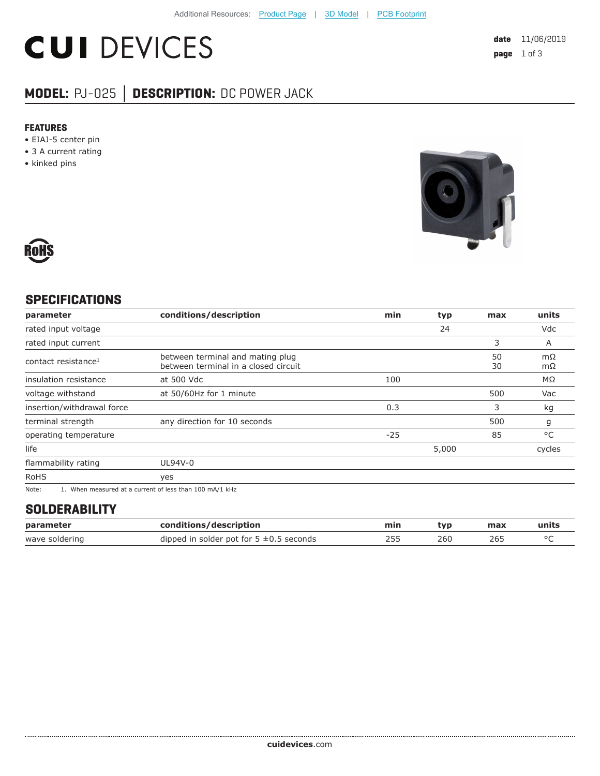# **CUI DEVICES**

### **MODEL:** PJ-025 **│ DESCRIPTION:** DC POWER JACK

#### **FEATURES**

- EIAJ-5 center pin
- 3 A current rating
- kinked pins





#### **SPECIFICATIONS**

| parameter                       | conditions/description                                                   | min   | typ   | max      | units    |
|---------------------------------|--------------------------------------------------------------------------|-------|-------|----------|----------|
| rated input voltage             |                                                                          |       | 24    |          | Vdc      |
| rated input current             |                                                                          |       |       | 3        | A        |
| contact resistance <sup>1</sup> | between terminal and mating plug<br>between terminal in a closed circuit |       |       | 50<br>30 | mΩ<br>mΩ |
| insulation resistance           | at 500 Vdc                                                               | 100   |       |          | MΩ       |
| voltage withstand               | at 50/60Hz for 1 minute                                                  |       |       | 500      | Vac      |
| insertion/withdrawal force      |                                                                          | 0.3   |       | 3        | kg       |
| terminal strength               | any direction for 10 seconds                                             |       |       | 500      | g        |
| operating temperature           |                                                                          | $-25$ |       | 85       | °C       |
| life                            |                                                                          |       | 5,000 |          | cycles   |
| flammability rating             | UL94V-0                                                                  |       |       |          |          |
| <b>RoHS</b>                     | yes                                                                      |       |       |          |          |
| $\mathbf{A}$                    |                                                                          |       |       |          |          |

Note: 1. When measured at a current of less than 100 mA/1 kHz

#### **SOLDERABILITY**

| parameter      | conditions/description                       | min | tvp | max | units |
|----------------|----------------------------------------------|-----|-----|-----|-------|
| wave soldering | dipped in solder pot for $5 \pm 0.5$ seconds |     | 260 | 265 |       |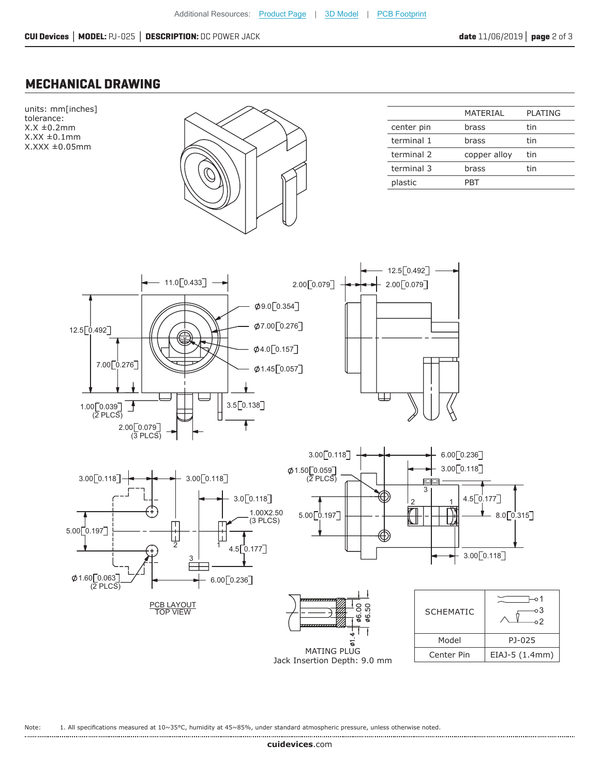#### **MECHANICAL DRAWING**



Jack Insertion Depth: 9.0 mm

Note: 1. All specifications measured at 10~35°C, humidity at 45~85%, under standard atmospheric pressure, unless otherwise noted.